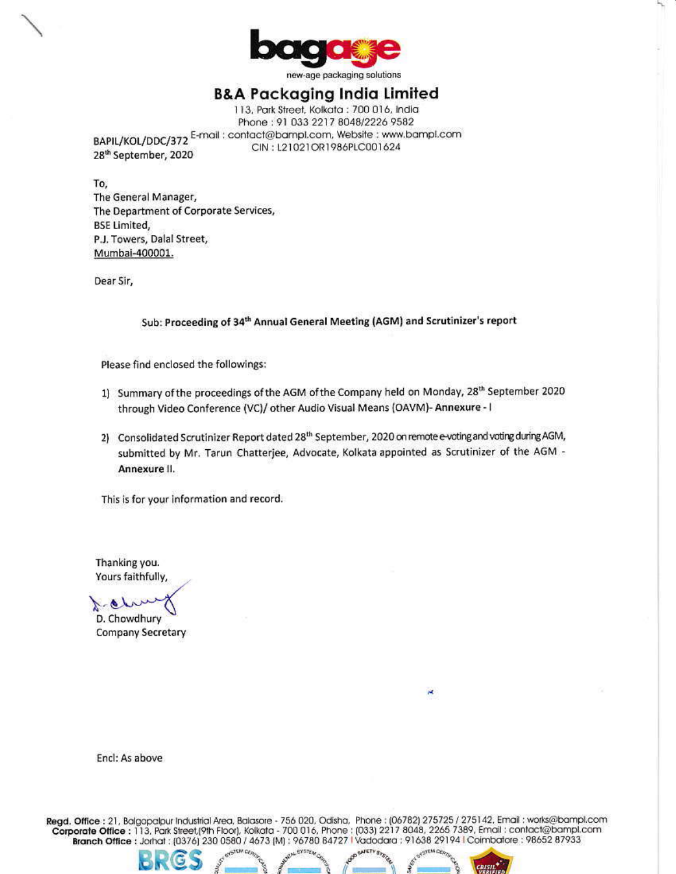

new-age packaging solutions

# **B&A Packaging India Limited**

113, Park Street, Kolkata : 700 016, India Phone: 91 033 2217 8048/2226 9582 BAPIL/KOL/DDC/372 E-mail: contact@bampl.com, Website: www.bampl.com CIN: L21021OR1986PLC001624 28<sup>th</sup> September, 2020

To, The General Manager, The Department of Corporate Services, **BSE Limited,** P.J. Towers, Dalal Street, Mumbai-400001.

Dear Sir,

#### Sub: Proceeding of 34th Annual General Meeting (AGM) and Scrutinizer's report

Please find enclosed the followings:

- 1) Summary of the proceedings of the AGM of the Company held on Monday, 28<sup>th</sup> September 2020 through Video Conference (VC)/ other Audio Visual Means (OAVM)- Annexure - I
- 2) Consolidated Scrutinizer Report dated 28<sup>th</sup> September, 2020 on remote e-voting and voting during AGM, submitted by Mr. Tarun Chatterjee, Advocate, Kolkata appointed as Scrutinizer of the AGM -Annexure II.

This is for your information and record.

Thanking you. Yours faithfully,

D. Chowdhury

Company Secretary

Encl: As above

Regd. Office: 21, Balgopalpur Industrial Area, Balasore - 756 020, Odisha, Phone: (06782) 275725 / 275142. Email: works@bampl.com Corporate Office: 113, Park Street,(9th Floor), Kolkata - 700 016, Phone: (033) 2217 8048, 2265 7389, Email: contact@bampl.com Branch Office : Jorhat : (0376) 230 0580 / 4673 [M] : 96780 84727 Vadodara : 91638 29194 I Coimbatore : 98652 87933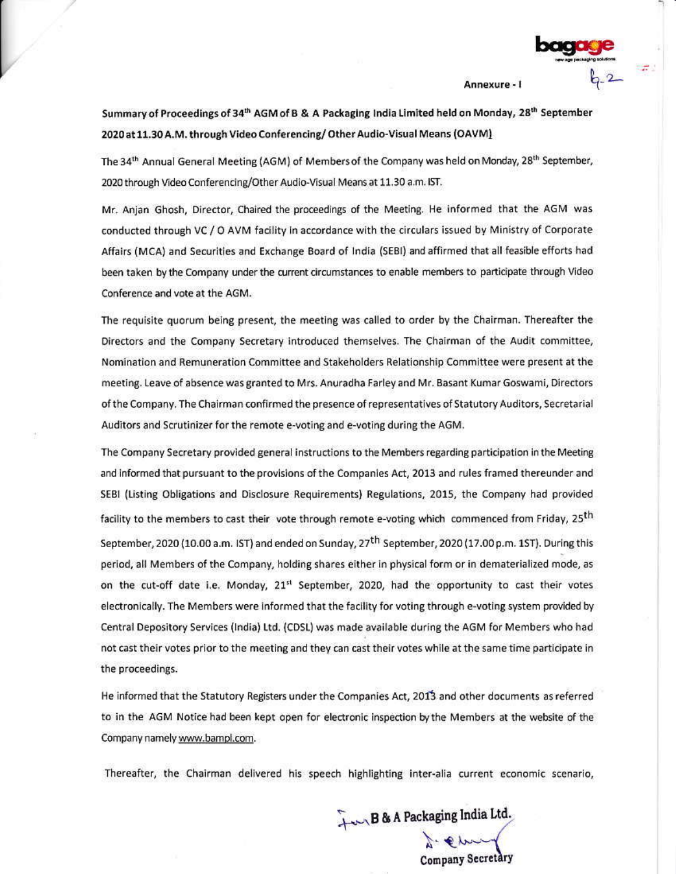Annexure - I

Summary of Proceedings of 34<sup>th</sup> AGM of B & A Packaging India Limited held on Monday, 28<sup>th</sup> September 2020 at 11.30 A.M. through Video Conferencing/Other Audio-Visual Means (OAVM)

The 34<sup>th</sup> Annual General Meeting (AGM) of Members of the Company was held on Monday, 28<sup>th</sup> September, 2020 through Video Conferencing/Other Audio-Visual Means at 11.30 a.m. IST.

Mr. Anjan Ghosh, Director, Chaired the proceedings of the Meeting. He informed that the AGM was conducted through VC / O AVM facility in accordance with the circulars issued by Ministry of Corporate Affairs (MCA) and Securities and Exchange Board of India (SEBI) and affirmed that all feasible efforts had been taken by the Company under the current circumstances to enable members to participate through Video Conference and vote at the AGM.

The requisite quorum being present, the meeting was called to order by the Chairman. Thereafter the Directors and the Company Secretary introduced themselves. The Chairman of the Audit committee, Nomination and Remuneration Committee and Stakeholders Relationship Committee were present at the meeting. Leave of absence was granted to Mrs. Anuradha Farley and Mr. Basant Kumar Goswami, Directors of the Company. The Chairman confirmed the presence of representatives of Statutory Auditors, Secretarial Auditors and Scrutinizer for the remote e-voting and e-voting during the AGM.

The Company Secretary provided general instructions to the Members regarding participation in the Meeting and informed that pursuant to the provisions of the Companies Act, 2013 and rules framed thereunder and SEBI (Listing Obligations and Disclosure Requirements) Regulations, 2015, the Company had provided facility to the members to cast their vote through remote e-voting which commenced from Friday, 25<sup>th</sup> September, 2020 (10.00 a.m. IST) and ended on Sunday, 27<sup>th</sup> September, 2020 (17.00 p.m. 1ST). During this period, all Members of the Company, holding shares either in physical form or in dematerialized mode, as on the cut-off date i.e. Monday, 21<sup>st</sup> September, 2020, had the opportunity to cast their votes electronically. The Members were informed that the facility for voting through e-voting system provided by Central Depository Services (India) Ltd. (CDSL) was made available during the AGM for Members who had not cast their votes prior to the meeting and they can cast their votes while at the same time participate in the proceedings.

He informed that the Statutory Registers under the Companies Act, 2013 and other documents as referred to in the AGM Notice had been kept open for electronic inspection by the Members at the website of the Company namely www.bampl.com.

Thereafter, the Chairman delivered his speech highlighting inter-alia current economic scenario,

Fur B & A Packaging India Ltd. **Company Secretary**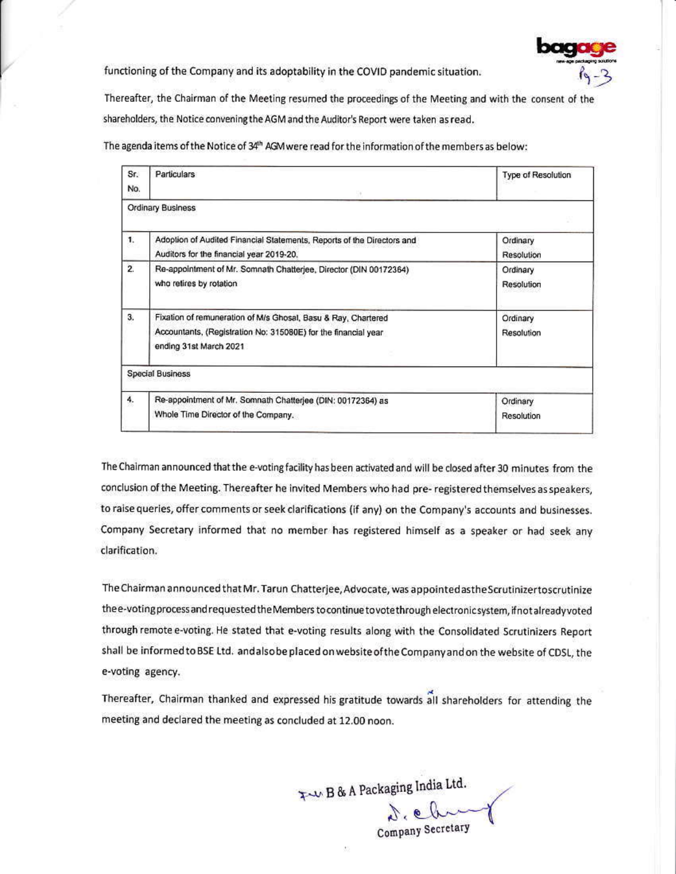

functioning of the Company and its adoptability in the COVID pandemic situation.

Thereafter, the Chairman of the Meeting resumed the proceedings of the Meeting and with the consent of the shareholders, the Notice convening the AGM and the Auditor's Report were taken as read.

The agenda items of the Notice of 34th AGM were read for the information of the members as below:

| Sr.            | Particulars                                                            | Type of Resolution |
|----------------|------------------------------------------------------------------------|--------------------|
| No.            |                                                                        |                    |
|                | Ordinary Business                                                      |                    |
| 1.             | Adoption of Audited Financial Statements, Reports of the Directors and | Ordinary           |
|                | Auditors for the financial year 2019-20.                               | Resolution         |
| $\overline{2}$ | Re-appointment of Mr. Somnath Chatterjee, Director (DIN 00172364)      | Ordinary           |
|                | who retires by rotation                                                | Resolution         |
| 3.             | Fixation of remuneration of M/s Ghosal, Basu & Ray, Chartered          | Ordinary           |
|                | Accountants, (Registration No: 315080E) for the financial year         | Resolution         |
|                | ending 31st March 2021                                                 |                    |
|                | <b>Special Business</b>                                                |                    |
| 4.             | Re-appointment of Mr. Somnath Chatterjee (DIN: 00172364) as            | Ordinary           |
|                | Whole Time Director of the Company.                                    | Resolution         |

The Chairman announced that the e-voting facility has been activated and will be closed after 30 minutes from the conclusion of the Meeting. Thereafter he invited Members who had pre-registered themselves as speakers, to raise queries, offer comments or seek clarifications (if any) on the Company's accounts and businesses. Company Secretary informed that no member has registered himself as a speaker or had seek any clarification.

The Chairman announced that Mr. Tarun Chatterjee, Advocate, was appointed as the Scrutinizer to scrutinize thee-voting process and requested the Members to continue to vote through electronic system, if not already voted through remote e-voting. He stated that e-voting results along with the Consolidated Scrutinizers Report shall be informed to BSE Ltd. and also be placed on website of the Company and on the website of CDSL, the e-voting agency.

Thereafter, Chairman thanked and expressed his gratitude towards all shareholders for attending the meeting and declared the meeting as concluded at 12.00 noon.

Tw B & A Packaging India Ltd.<br>Company Secretary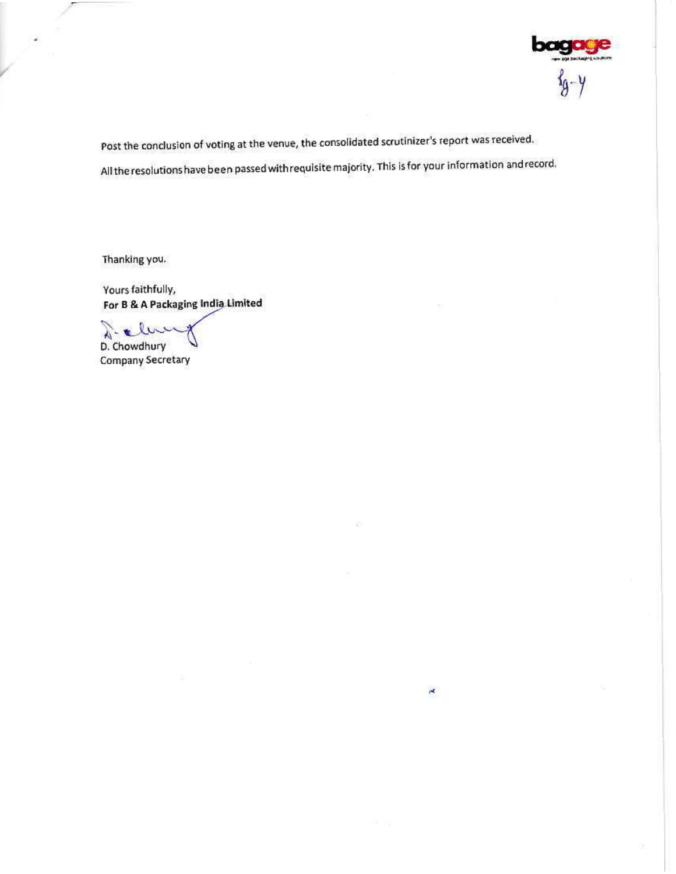

Post the conclusion of voting at the venue, the consolidated scrutinizer's report was received. All the resolutions have been passed with requisite majority. This is for your information and record.

 $\star$ 

Thanking you.

Yours faithfully, For B & A Packaging India Limited

 $\mathbf{v}$ À D. Chowdhury

**Company Secretary**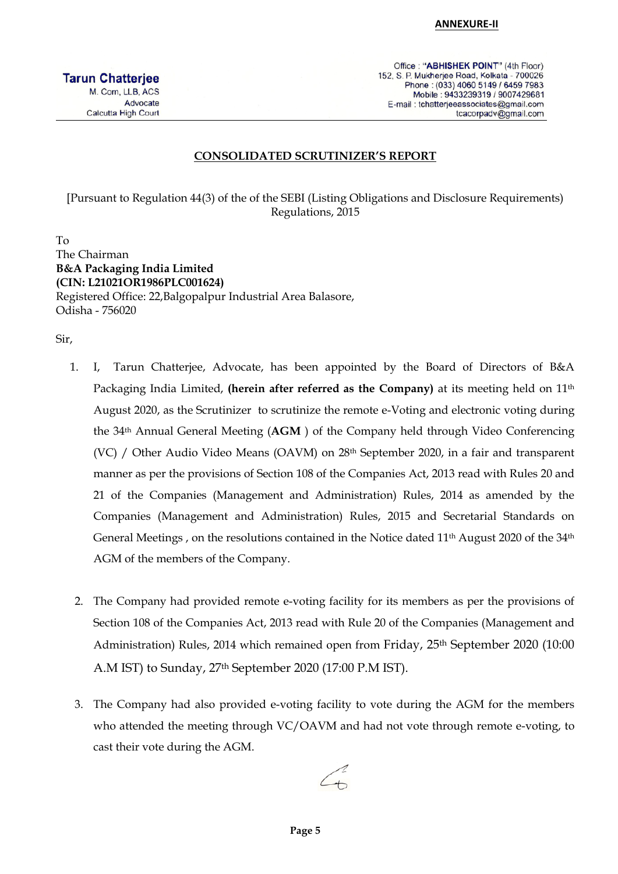Office: "ABHISHEK POINT" (4th Floor) 152, S. P. Mukherjee Road, Kolkata - 700026 Phone: (033) 4060 5149 / 6459 7983 Mobile: 9433239319 / 9007429681 E-mail : tchatterjeeassociates@gmail.com tcacorpadv@gmail.com

#### **CONSOLIDATED SCRUTINIZER'S REPORT**

[Pursuant to Regulation 44(3) of the of the SEBI (Listing Obligations and Disclosure Requirements) Regulations, 2015

To The Chairman **B&A Packaging India Limited (CIN: L21021OR1986PLC001624)**  Registered Office: 22,Balgopalpur Industrial Area Balasore, Odisha - 756020

Sir,

- 1. I, Tarun Chatterjee, Advocate, has been appointed by the Board of Directors of B&A Packaging India Limited, (herein after referred as the Company) at its meeting held on 11<sup>th</sup> August 2020, as the Scrutinizer to scrutinize the remote e-Voting and electronic voting during the 34th Annual General Meeting (**AGM** ) of the Company held through Video Conferencing (VC) / Other Audio Video Means (OAVM) on 28<sup>th</sup> September 2020, in a fair and transparent manner as per the provisions of Section 108 of the Companies Act, 2013 read with Rules 20 and 21 of the Companies (Management and Administration) Rules, 2014 as amended by the Companies (Management and Administration) Rules, 2015 and Secretarial Standards on General Meetings, on the resolutions contained in the Notice dated 11<sup>th</sup> August 2020 of the 34<sup>th</sup> AGM of the members of the Company.
- 2. The Company had provided remote e-voting facility for its members as per the provisions of Section 108 of the Companies Act, 2013 read with Rule 20 of the Companies (Management and Administration) Rules, 2014 which remained open from Friday, 25<sup>th</sup> September 2020 (10:00 A.M IST) to Sunday, 27th September 2020 (17:00 P.M IST).
- 3. The Company had also provided e-voting facility to vote during the AGM for the members who attended the meeting through VC/OAVM and had not vote through remote e-voting, to cast their vote during the AGM.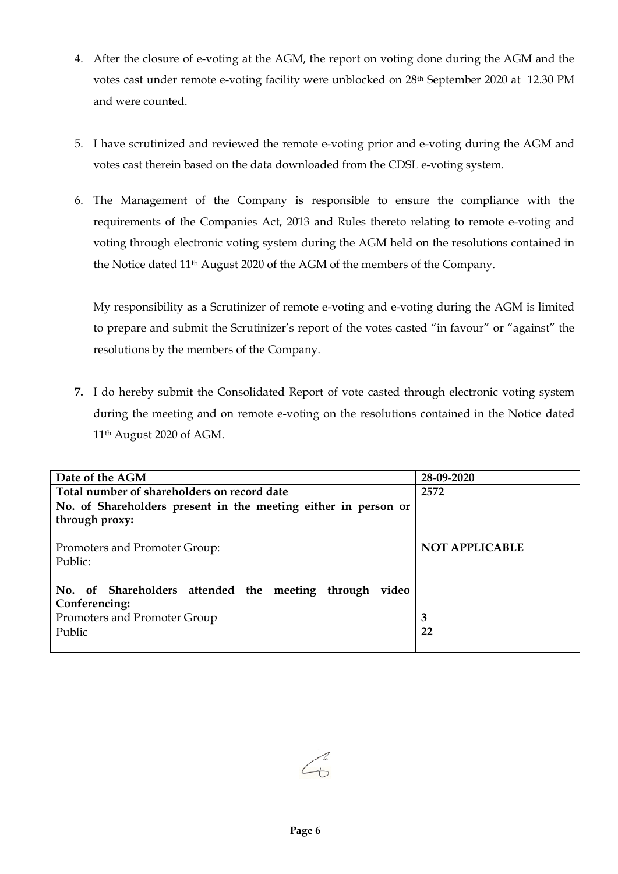- 4. After the closure of e-voting at the AGM, the report on voting done during the AGM and the votes cast under remote e-voting facility were unblocked on 28th September 2020 at 12.30 PM and were counted.
- 5. I have scrutinized and reviewed the remote e-voting prior and e-voting during the AGM and votes cast therein based on the data downloaded from the CDSL e-voting system.
- 6. The Management of the Company is responsible to ensure the compliance with the requirements of the Companies Act, 2013 and Rules thereto relating to remote e-voting and voting through electronic voting system during the AGM held on the resolutions contained in the Notice dated 11th August 2020 of the AGM of the members of the Company.

My responsibility as a Scrutinizer of remote e-voting and e-voting during the AGM is limited to prepare and submit the Scrutinizer's report of the votes casted "in favour" or "against" the resolutions by the members of the Company.

**7.** I do hereby submit the Consolidated Report of vote casted through electronic voting system during the meeting and on remote e-voting on the resolutions contained in the Notice dated 11th August 2020 of AGM.

| Date of the AGM                                                | 28-09-2020            |  |
|----------------------------------------------------------------|-----------------------|--|
| Total number of shareholders on record date                    | 2572                  |  |
| No. of Shareholders present in the meeting either in person or |                       |  |
| through proxy:                                                 |                       |  |
|                                                                |                       |  |
| Promoters and Promoter Group:                                  | <b>NOT APPLICABLE</b> |  |
| Public:                                                        |                       |  |
|                                                                |                       |  |
| No. of Shareholders attended the meeting through<br>video      |                       |  |
| Conferencing:                                                  |                       |  |
| Promoters and Promoter Group                                   | 3                     |  |
| Public                                                         | 22                    |  |
|                                                                |                       |  |

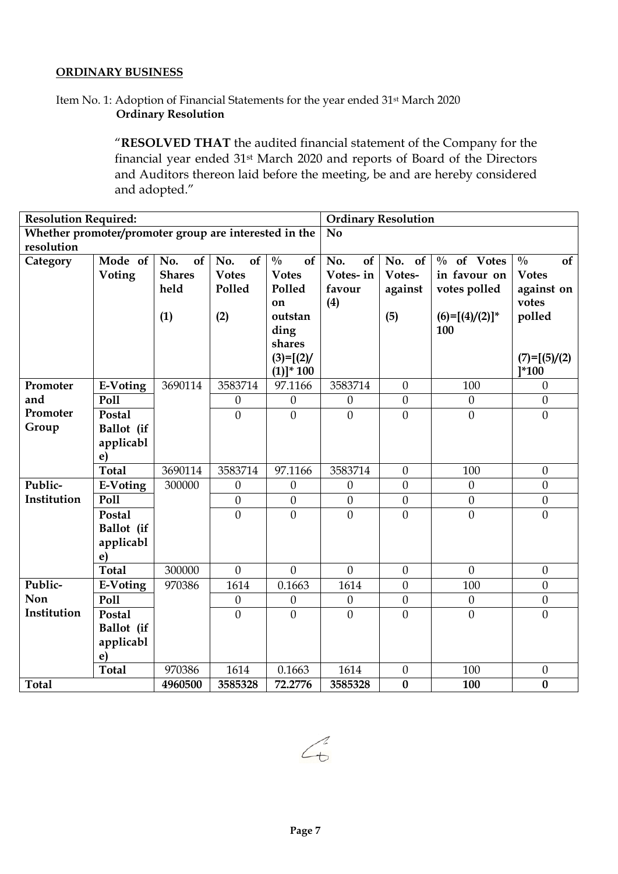#### **ORDINARY BUSINESS**

# Item No. 1: Adoption of Financial Statements for the year ended 31st March 2020 **Ordinary Resolution**

"**RESOLVED THAT** the audited financial statement of the Company for the financial year ended 31st March 2020 and reports of Board of the Directors and Auditors thereon laid before the meeting, be and are hereby considered and adopted."

| <b>Resolution Required:</b>                           |              |               | <b>Ordinary Resolution</b> |                     |                  |                  |                   |                     |
|-------------------------------------------------------|--------------|---------------|----------------------------|---------------------|------------------|------------------|-------------------|---------------------|
| Whether promoter/promoter group are interested in the |              |               | N <sub>0</sub>             |                     |                  |                  |                   |                     |
| resolution                                            |              |               |                            |                     |                  |                  |                   |                     |
| Category                                              | Mode of      | No.<br>of     | No.<br>of                  | $\frac{0}{0}$<br>of | No.<br>of        | No. of           | $\%$ of Votes     | $\frac{0}{0}$<br>of |
|                                                       | Voting       | <b>Shares</b> | <b>Votes</b>               | <b>Votes</b>        | Votes-in         | Votes-           | in favour on      | <b>Votes</b>        |
|                                                       |              | held          | Polled                     | Polled              | favour           | against          | votes polled      | against on          |
|                                                       |              |               |                            | on                  | (4)              |                  |                   | votes               |
|                                                       |              | (1)           | (2)                        | outstan             |                  | (5)              | $(6)=[(4)/(2)]^*$ | polled              |
|                                                       |              |               |                            | ding                |                  |                  | 100               |                     |
|                                                       |              |               |                            | shares              |                  |                  |                   |                     |
|                                                       |              |               |                            | $(3)=[(2)/$         |                  |                  |                   | $(7) = [(5)/(2)$    |
|                                                       |              |               |                            | $(1)]^* 100$        |                  |                  |                   | $]^{*}100$          |
| Promoter                                              | E-Voting     | 3690114       | 3583714                    | 97.1166             | 3583714          | $\theta$         | 100               | $\boldsymbol{0}$    |
| and                                                   | Poll         |               | $\theta$                   | $\theta$            | $\theta$         | $\mathbf{0}$     | $\theta$          | $\mathbf{0}$        |
| Promoter                                              | Postal       |               | $\mathbf{0}$               | $\mathbf{0}$        | $\mathbf{0}$     | $\mathbf{0}$     | $\mathbf{0}$      | $\mathbf{0}$        |
| Group                                                 | Ballot (if   |               |                            |                     |                  |                  |                   |                     |
|                                                       | applicabl    |               |                            |                     |                  |                  |                   |                     |
|                                                       | $\mathbf{e}$ |               |                            |                     |                  |                  |                   |                     |
|                                                       | <b>Total</b> | 3690114       | 3583714                    | 97.1166             | 3583714          | $\theta$         | 100               | $\mathbf{0}$        |
| Public-                                               | E-Voting     | 300000        | $\theta$                   | $\theta$            | $\theta$         | $\overline{0}$   | $\theta$          | $\theta$            |
| Institution                                           | Poll         |               | $\mathbf{0}$               | $\mathbf{0}$        | $\mathbf{0}$     | $\mathbf{0}$     | $\mathbf{0}$      | $\mathbf{0}$        |
|                                                       | Postal       |               | $\mathbf{0}$               | $\mathbf{0}$        | $\mathbf{0}$     | $\mathbf{0}$     | $\overline{0}$    | $\theta$            |
|                                                       | Ballot (if   |               |                            |                     |                  |                  |                   |                     |
|                                                       | applicabl    |               |                            |                     |                  |                  |                   |                     |
|                                                       | e)           |               |                            |                     |                  |                  |                   |                     |
|                                                       | <b>Total</b> | 300000        | $\overline{0}$             | $\theta$            | $\theta$         | $\theta$         | $\theta$          | $\theta$            |
| Public-                                               | E-Voting     | 970386        | 1614                       | 0.1663              | 1614             | $\theta$         | 100               | $\overline{0}$      |
| Non                                                   | Poll         |               | $\boldsymbol{0}$           | $\boldsymbol{0}$    | $\boldsymbol{0}$ | $\boldsymbol{0}$ | $\boldsymbol{0}$  | $\boldsymbol{0}$    |
| Institution                                           | Postal       |               | $\overline{0}$             | $\theta$            | $\theta$         | $\overline{0}$   | $\theta$          | $\overline{0}$      |
|                                                       | Ballot (if   |               |                            |                     |                  |                  |                   |                     |
|                                                       | applicabl    |               |                            |                     |                  |                  |                   |                     |
|                                                       | $\mathbf{e}$ |               |                            |                     |                  |                  |                   |                     |
|                                                       | <b>Total</b> | 970386        | 1614                       | 0.1663              | 1614             | $\theta$         | 100               | $\boldsymbol{0}$    |
| <b>Total</b>                                          |              | 4960500       | 3585328                    | 72.2776             | 3585328          | $\bf{0}$         | 100               | $\bf{0}$            |

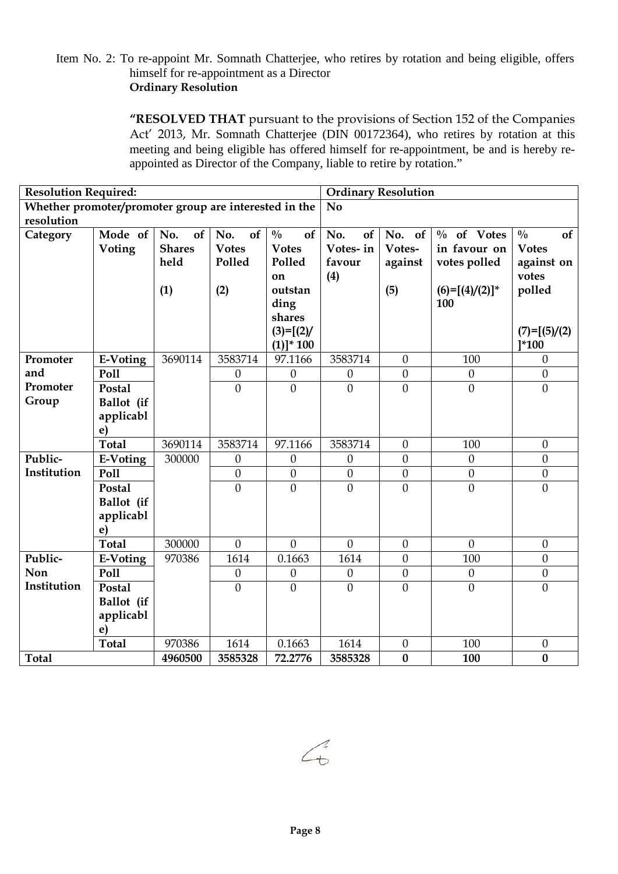# Item No. 2: To re-appoint Mr. Somnath Chatterjee, who retires by rotation and being eligible, offers himself for re-appointment as a Director **Ordinary Resolution**

**"RESOLVED THAT** pursuant to the provisions of Section 152 of the Companies Act' 2013, Mr. Somnath Chatterjee (DIN 00172364), who retires by rotation at this meeting and being eligible has offered himself for re-appointment, be and is hereby reappointed as Director of the Company, liable to retire by rotation."

| <b>Resolution Required:</b>                           |                    |               | <b>Ordinary Resolution</b> |                     |                  |                  |                   |                     |
|-------------------------------------------------------|--------------------|---------------|----------------------------|---------------------|------------------|------------------|-------------------|---------------------|
| Whether promoter/promoter group are interested in the |                    |               |                            |                     | N <sub>0</sub>   |                  |                   |                     |
| resolution                                            |                    |               |                            |                     |                  |                  |                   |                     |
| Category                                              | Mode of            | No.<br>of     | No.<br>of                  | $\frac{0}{0}$<br>of | No.<br>of        | No.<br>of        | $\%$ of Votes     | $\frac{0}{0}$<br>of |
|                                                       | Voting             | <b>Shares</b> | <b>Votes</b>               | <b>Votes</b>        | Votes-in         | Votes-           | in favour on      | <b>Votes</b>        |
|                                                       |                    | held          | Polled                     | Polled              | favour           | against          | votes polled      | against on          |
|                                                       |                    |               |                            | on                  | (4)              |                  |                   | votes               |
|                                                       |                    | (1)           | (2)                        | outstan             |                  | (5)              | $(6)=[(4)/(2)]^*$ | polled              |
|                                                       |                    |               |                            | ding                |                  |                  | 100               |                     |
|                                                       |                    |               |                            | shares              |                  |                  |                   |                     |
|                                                       |                    |               |                            | $(3)=[(2)/$         |                  |                  |                   | $(7) = [(5)/(2)$    |
|                                                       |                    |               |                            | $(1)]^* 100$        |                  |                  |                   | $1*100$             |
| Promoter<br>and                                       | E-Voting           | 3690114       | 3583714                    | 97.1166             | 3583714          | $\theta$         | 100               | $\boldsymbol{0}$    |
| Promoter                                              | Poll               |               | $\boldsymbol{0}$           | $\theta$            | $\theta$         | $\mathbf{0}$     | $\theta$          | $\boldsymbol{0}$    |
| Group                                                 | Postal             |               | $\overline{0}$             | $\overline{0}$      | $\overline{0}$   | $\overline{0}$   | $\mathbf{0}$      | $\mathbf{0}$        |
|                                                       | Ballot (if         |               |                            |                     |                  |                  |                   |                     |
|                                                       | applicabl          |               |                            |                     |                  |                  |                   |                     |
|                                                       | e)<br><b>Total</b> | 3690114       | 3583714                    | 97.1166             | 3583714          | $\theta$         | 100               | $\boldsymbol{0}$    |
| Public-                                               | E-Voting           | 300000        | $\boldsymbol{0}$           | $\theta$            | $\theta$         | $\mathbf{0}$     | $\theta$          | $\mathbf{0}$        |
| Institution                                           | Poll               |               | $\boldsymbol{0}$           | $\theta$            | $\boldsymbol{0}$ | $\boldsymbol{0}$ | $\boldsymbol{0}$  | $\boldsymbol{0}$    |
|                                                       | Postal             |               | $\mathbf{0}$               | $\theta$            | $\overline{0}$   | $\mathbf{0}$     | $\overline{0}$    | $\boldsymbol{0}$    |
|                                                       | Ballot (if         |               |                            |                     |                  |                  |                   |                     |
|                                                       | applicabl          |               |                            |                     |                  |                  |                   |                     |
|                                                       | $\bf e)$           |               |                            |                     |                  |                  |                   |                     |
|                                                       | <b>Total</b>       | 300000        | $\overline{0}$             | $\overline{0}$      | $\overline{0}$   | $\mathbf{0}$     | $\overline{0}$    | $\boldsymbol{0}$    |
| Public-                                               | E-Voting           | 970386        | 1614                       | 0.1663              | 1614             | $\theta$         | 100               | $\boldsymbol{0}$    |
| Non                                                   | Poll               |               | $\mathbf{0}$               | $\theta$            | $\boldsymbol{0}$ | $\mathbf{0}$     | $\theta$          | $\boldsymbol{0}$    |
| Institution                                           | Postal             |               | $\overline{0}$             | $\overline{0}$      | $\mathbf{0}$     | $\overline{0}$   | $\overline{0}$    | $\mathbf{0}$        |
|                                                       | Ballot (if         |               |                            |                     |                  |                  |                   |                     |
|                                                       | applicabl          |               |                            |                     |                  |                  |                   |                     |
|                                                       | e)                 |               |                            |                     |                  |                  |                   |                     |
|                                                       | <b>Total</b>       | 970386        | 1614                       | 0.1663              | 1614             | $\boldsymbol{0}$ | 100               | $\boldsymbol{0}$    |
| <b>Total</b>                                          |                    | 4960500       | 3585328                    | 72.2776             | 3585328          | $\bf{0}$         | 100               | $\bf{0}$            |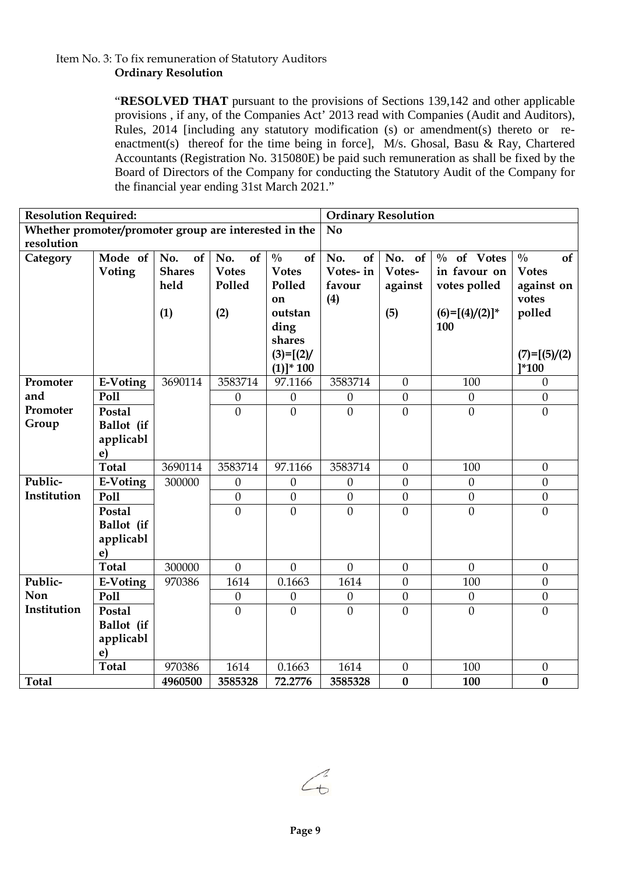# Item No. 3: To fix remuneration of Statutory Auditors **Ordinary Resolution**

"**RESOLVED THAT** pursuant to the provisions of Sections 139,142 and other applicable provisions , if any, of the Companies Act' 2013 read with Companies (Audit and Auditors), Rules, 2014 [including any statutory modification (s) or amendment(s) thereto or reenactment(s) thereof for the time being in force], M/s. Ghosal, Basu & Ray, Chartered Accountants (Registration No. 315080E) be paid such remuneration as shall be fixed by the Board of Directors of the Company for conducting the Statutory Audit of the Company for the financial year ending 31st March 2021."

| <b>Resolution Required:</b>                           |                    |               | <b>Ordinary Resolution</b> |                     |                  |                  |                   |                     |
|-------------------------------------------------------|--------------------|---------------|----------------------------|---------------------|------------------|------------------|-------------------|---------------------|
| Whether promoter/promoter group are interested in the |                    |               | N <sub>0</sub>             |                     |                  |                  |                   |                     |
| resolution                                            |                    |               |                            |                     |                  |                  |                   |                     |
| Category                                              | Mode of            | No.<br>of     | No.<br>of                  | $\frac{0}{0}$<br>of | No.<br>of        | No. of           | $\%$ of Votes     | $\frac{0}{0}$<br>of |
|                                                       | Voting             | <b>Shares</b> | <b>Votes</b>               | <b>Votes</b>        | Votes-in         | Votes-           | in favour on      | <b>Votes</b>        |
|                                                       |                    | held          | Polled                     | Polled              | favour           | against          | votes polled      | against on          |
|                                                       |                    |               |                            | on                  | (4)              |                  |                   | votes               |
|                                                       |                    | (1)           | (2)                        | outstan             |                  | (5)              | $(6)=[(4)/(2)]^*$ | polled              |
|                                                       |                    |               |                            | ding                |                  |                  | 100               |                     |
|                                                       |                    |               |                            | shares              |                  |                  |                   |                     |
|                                                       |                    |               |                            | $(3)=[(2)/$         |                  |                  |                   | $(7) = [(5)/(2)$    |
|                                                       |                    |               |                            | $(1)]^* 100$        |                  |                  |                   | $1*100$             |
| Promoter                                              | E-Voting           | 3690114       | 3583714                    | 97.1166             | 3583714          | $\boldsymbol{0}$ | 100               | $\boldsymbol{0}$    |
| and                                                   | Poll               |               | $\boldsymbol{0}$           | $\theta$            | $\boldsymbol{0}$ | $\mathbf{0}$     | $\theta$          | $\boldsymbol{0}$    |
| Promoter                                              | Postal             |               | $\overline{0}$             | $\mathbf{0}$        | $\mathbf{0}$     | $\mathbf{0}$     | $\mathbf{0}$      | $\boldsymbol{0}$    |
| Group                                                 | Ballot (if         |               |                            |                     |                  |                  |                   |                     |
|                                                       | applicabl          |               |                            |                     |                  |                  |                   |                     |
|                                                       | e)                 |               |                            |                     |                  |                  |                   |                     |
|                                                       | <b>Total</b>       | 3690114       | 3583714                    | 97.1166             | 3583714          | $\theta$         | 100               | $\boldsymbol{0}$    |
| Public-                                               | E-Voting           | 300000        | $\boldsymbol{0}$           | $\theta$            | $\theta$         | $\mathbf{0}$     | $\theta$          | $\boldsymbol{0}$    |
| Institution                                           | Poll               |               | $\boldsymbol{0}$           | $\boldsymbol{0}$    | $\boldsymbol{0}$ | $\boldsymbol{0}$ | $\boldsymbol{0}$  | $\boldsymbol{0}$    |
|                                                       | Postal             |               | $\overline{0}$             | $\mathbf{0}$        | $\mathbf{0}$     | $\mathbf{0}$     | $\mathbf{0}$      | $\mathbf{0}$        |
|                                                       | Ballot (if         |               |                            |                     |                  |                  |                   |                     |
|                                                       | applicabl          |               |                            |                     |                  |                  |                   |                     |
|                                                       | e)<br><b>Total</b> | 300000        | $\overline{0}$             | $\overline{0}$      | $\overline{0}$   | $\mathbf{0}$     | $\theta$          |                     |
|                                                       |                    |               |                            |                     |                  |                  |                   | $\boldsymbol{0}$    |
| Public-<br><b>Non</b>                                 | E-Voting           | 970386        | 1614                       | 0.1663              | 1614             | $\mathbf{0}$     | 100               | $\boldsymbol{0}$    |
| Institution                                           | Poll               |               | $\boldsymbol{0}$           | $\boldsymbol{0}$    | $\boldsymbol{0}$ | $\boldsymbol{0}$ | $\boldsymbol{0}$  | $\boldsymbol{0}$    |
|                                                       | Postal             |               | $\theta$                   | $\theta$            | $\overline{0}$   | $\theta$         | $\theta$          | $\overline{0}$      |
|                                                       | Ballot (if         |               |                            |                     |                  |                  |                   |                     |
|                                                       | applicabl          |               |                            |                     |                  |                  |                   |                     |
|                                                       | e)                 |               |                            |                     |                  |                  |                   |                     |
|                                                       | <b>Total</b>       | 970386        | 1614                       | 0.1663              | 1614             | $\boldsymbol{0}$ | 100               | $\boldsymbol{0}$    |
| <b>Total</b>                                          |                    | 4960500       | 3585328                    | 72.2776             | 3585328          | $\bf{0}$         | 100               | $\bf{0}$            |

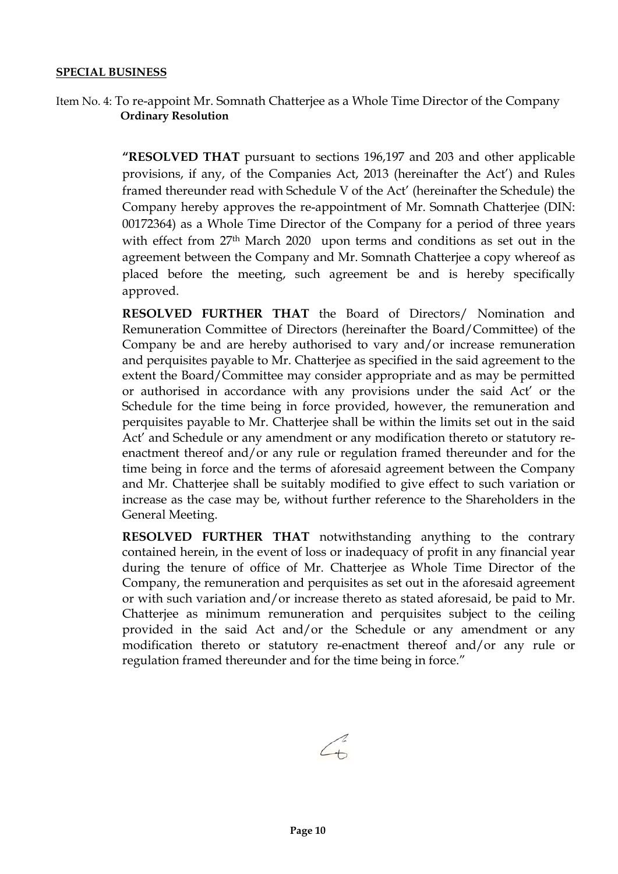### **SPECIAL BUSINESS**

Item No. 4: To re-appoint Mr. Somnath Chatterjee as a Whole Time Director of the Company  **Ordinary Resolution**

> **"RESOLVED THAT** pursuant to sections 196,197 and 203 and other applicable provisions, if any, of the Companies Act, 2013 (hereinafter the Act') and Rules framed thereunder read with Schedule V of the Act' (hereinafter the Schedule) the Company hereby approves the re-appointment of Mr. Somnath Chatterjee (DIN: 00172364) as a Whole Time Director of the Company for a period of three years with effect from 27th March 2020 upon terms and conditions as set out in the agreement between the Company and Mr. Somnath Chatterjee a copy whereof as placed before the meeting, such agreement be and is hereby specifically approved.

> **RESOLVED FURTHER THAT** the Board of Directors/ Nomination and Remuneration Committee of Directors (hereinafter the Board/Committee) of the Company be and are hereby authorised to vary and/or increase remuneration and perquisites payable to Mr. Chatterjee as specified in the said agreement to the extent the Board/Committee may consider appropriate and as may be permitted or authorised in accordance with any provisions under the said Act' or the Schedule for the time being in force provided, however, the remuneration and perquisites payable to Mr. Chatterjee shall be within the limits set out in the said Act' and Schedule or any amendment or any modification thereto or statutory reenactment thereof and/or any rule or regulation framed thereunder and for the time being in force and the terms of aforesaid agreement between the Company and Mr. Chatterjee shall be suitably modified to give effect to such variation or increase as the case may be, without further reference to the Shareholders in the General Meeting.

> **RESOLVED FURTHER THAT** notwithstanding anything to the contrary contained herein, in the event of loss or inadequacy of profit in any financial year during the tenure of office of Mr. Chatterjee as Whole Time Director of the Company, the remuneration and perquisites as set out in the aforesaid agreement or with such variation and/or increase thereto as stated aforesaid, be paid to Mr. Chatterjee as minimum remuneration and perquisites subject to the ceiling provided in the said Act and/or the Schedule or any amendment or any modification thereto or statutory re-enactment thereof and/or any rule or regulation framed thereunder and for the time being in force."

 $\sqrt{\frac{2}{1}}$